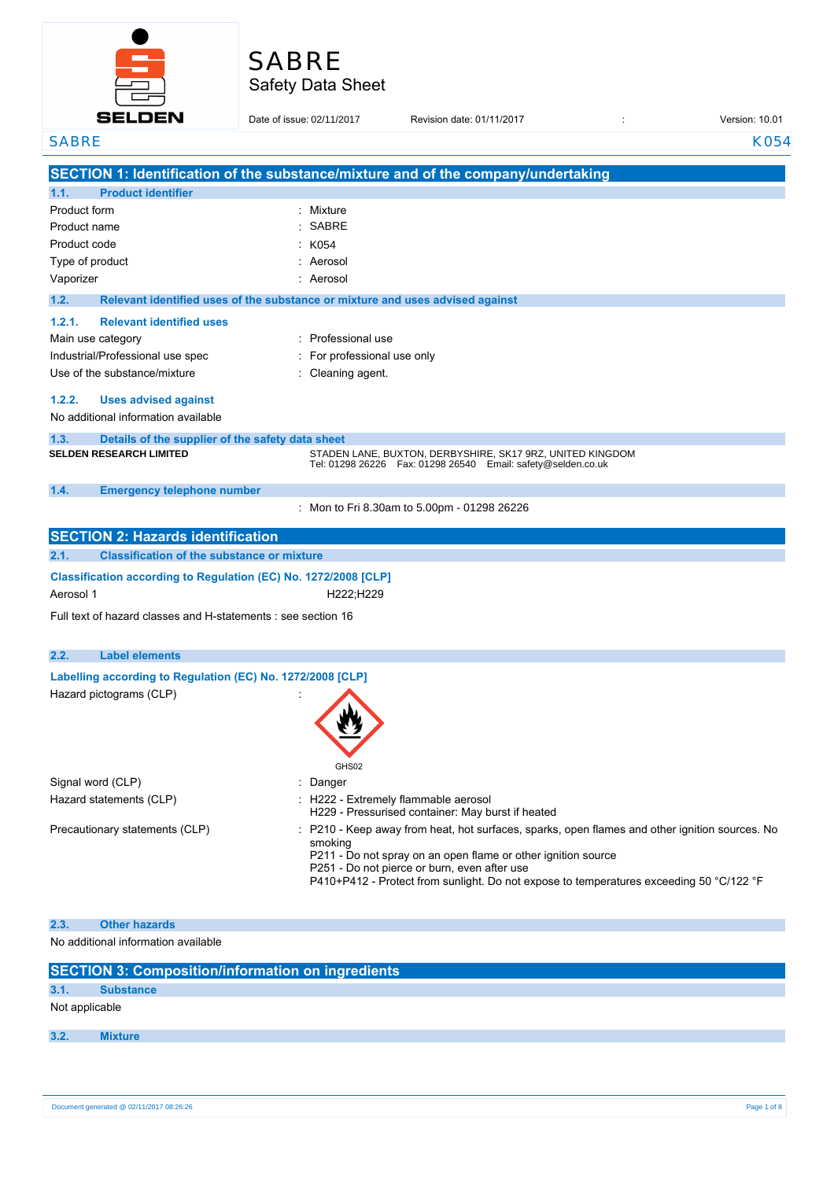

# Safety Data Sheet SABRE

| <b>SELDEN</b>                                                   | Date of issue: 02/11/2017                                                     | Revision date: 01/11/2017                                                                                                       | Version: 10.01 |
|-----------------------------------------------------------------|-------------------------------------------------------------------------------|---------------------------------------------------------------------------------------------------------------------------------|----------------|
| <b>SABRE</b>                                                    |                                                                               |                                                                                                                                 | K054           |
|                                                                 |                                                                               | SECTION 1: Identification of the substance/mixture and of the company/undertaking                                               |                |
| 1.1.<br><b>Product identifier</b>                               |                                                                               |                                                                                                                                 |                |
| Product form                                                    | : Mixture                                                                     |                                                                                                                                 |                |
| Product name                                                    | <b>SABRE</b>                                                                  |                                                                                                                                 |                |
| Product code                                                    | K054                                                                          |                                                                                                                                 |                |
| Type of product                                                 | Aerosol                                                                       |                                                                                                                                 |                |
| Vaporizer                                                       | Aerosol                                                                       |                                                                                                                                 |                |
| 1.2.                                                            | Relevant identified uses of the substance or mixture and uses advised against |                                                                                                                                 |                |
| 1.2.1.<br><b>Relevant identified uses</b>                       |                                                                               |                                                                                                                                 |                |
| Main use category                                               | Professional use                                                              |                                                                                                                                 |                |
| Industrial/Professional use spec                                | For professional use only                                                     |                                                                                                                                 |                |
| Use of the substance/mixture                                    | Cleaning agent.                                                               |                                                                                                                                 |                |
| 1.2.2.<br><b>Uses advised against</b>                           |                                                                               |                                                                                                                                 |                |
| No additional information available                             |                                                                               |                                                                                                                                 |                |
| 1.3.<br>Details of the supplier of the safety data sheet        |                                                                               |                                                                                                                                 |                |
| <b>SELDEN RESEARCH LIMITED</b>                                  |                                                                               | STADEN LANE, BUXTON, DERBYSHIRE, SK17 9RZ, UNITED KINGDOM<br>Tel: 01298 26226    Fax: 01298 26540    Email: safety@selden.co.uk |                |
|                                                                 |                                                                               |                                                                                                                                 |                |
| 1.4.<br><b>Emergency telephone number</b>                       |                                                                               |                                                                                                                                 |                |
|                                                                 |                                                                               | : Mon to Fri 8.30am to 5.00pm - 01298 26226                                                                                     |                |
| <b>SECTION 2: Hazards identification</b>                        |                                                                               |                                                                                                                                 |                |
| <b>Classification of the substance or mixture</b><br>2.1.       |                                                                               |                                                                                                                                 |                |
| Classification according to Regulation (EC) No. 1272/2008 [CLP] |                                                                               |                                                                                                                                 |                |
| Aerosol 1                                                       | H222;H229                                                                     |                                                                                                                                 |                |
| Full text of hazard classes and H-statements : see section 16   |                                                                               |                                                                                                                                 |                |
|                                                                 |                                                                               |                                                                                                                                 |                |
| 2.2.<br><b>Label elements</b>                                   |                                                                               |                                                                                                                                 |                |
| Labelling according to Regulation (EC) No. 1272/2008 [CLP]      |                                                                               |                                                                                                                                 |                |
| Hazard pictograms (CLP)                                         |                                                                               |                                                                                                                                 |                |
|                                                                 | W                                                                             |                                                                                                                                 |                |
|                                                                 |                                                                               |                                                                                                                                 |                |
|                                                                 |                                                                               |                                                                                                                                 |                |
|                                                                 | GHS02                                                                         |                                                                                                                                 |                |
| Signal word (CLP)                                               | Danger<br>÷                                                                   |                                                                                                                                 |                |
| Hazard statements (CLP)                                         |                                                                               | : H222 - Extremely flammable aerosol<br>H229 - Pressurised container: May burst if heated                                       |                |
| Precautionary statements (CLP)                                  |                                                                               | : P210 - Keep away from heat, hot surfaces, sparks, open flames and other ignition sources. No                                  |                |
|                                                                 | smoking                                                                       | P211 - Do not spray on an open flame or other ignition source                                                                   |                |
|                                                                 |                                                                               | P251 - Do not pierce or burn, even after use                                                                                    |                |
|                                                                 |                                                                               | P410+P412 - Protect from sunlight. Do not expose to temperatures exceeding 50 °C/122 °F                                         |                |
|                                                                 |                                                                               |                                                                                                                                 |                |
| <b>Other hazards</b><br>2.3.                                    |                                                                               |                                                                                                                                 |                |
| No additional information available                             |                                                                               |                                                                                                                                 |                |
|                                                                 |                                                                               |                                                                                                                                 |                |

|                | <b>SECTION 3: Composition/information on ingredients</b> |
|----------------|----------------------------------------------------------|
| 3.1.           | <b>Substance</b>                                         |
| Not applicable |                                                          |
| 3.2.           | <b>Mixture</b>                                           |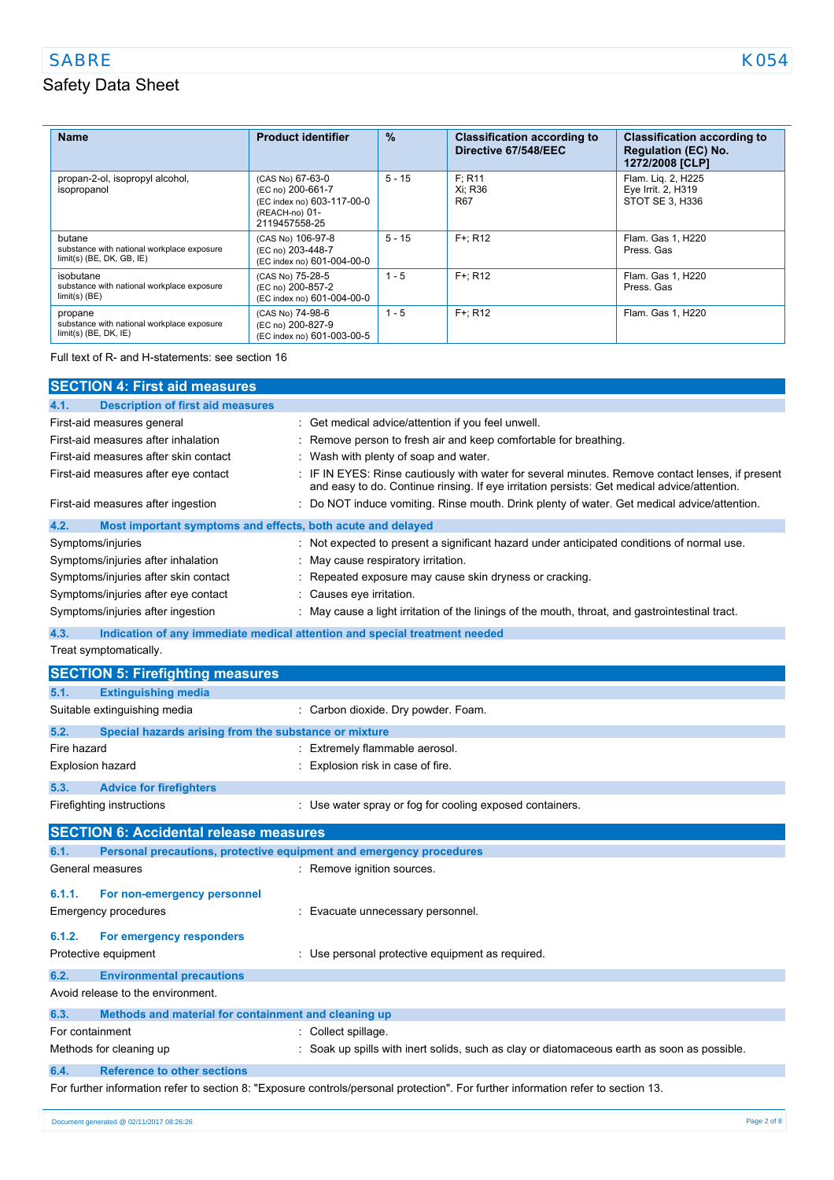## SABRE KO54

L.

# Safety Data Sheet

| <b>Name</b>                                                                         | <b>Product identifier</b>                                                                              | $\%$     | <b>Classification according to</b><br>Directive 67/548/EEC | <b>Classification according to</b><br><b>Regulation (EC) No.</b><br>1272/2008 [CLP] |
|-------------------------------------------------------------------------------------|--------------------------------------------------------------------------------------------------------|----------|------------------------------------------------------------|-------------------------------------------------------------------------------------|
| propan-2-ol, isopropyl alcohol,<br>isopropanol                                      | (CAS No) 67-63-0<br>(EC no) 200-661-7<br>(EC index no) 603-117-00-0<br>(REACH-no) 01-<br>2119457558-25 | $5 - 15$ | F: R11<br>Xi: R36<br><b>R67</b>                            | Flam. Lig. 2, H225<br>Eye Irrit. 2, H319<br>STOT SE 3, H336                         |
| butane<br>substance with national workplace exposure<br>$limit(s)$ (BE, DK, GB, IE) | (CAS No) 106-97-8<br>(EC no) 203-448-7<br>(EC index no) 601-004-00-0                                   | $5 - 15$ | $F +: R12$                                                 | Flam. Gas 1, H220<br>Press, Gas                                                     |
| isobutane<br>substance with national workplace exposure<br>$limit(s)$ (BE)          | (CAS No) 75-28-5<br>(EC no) 200-857-2<br>(EC index no) 601-004-00-0                                    | $1 - 5$  | $F +: R12$                                                 | Flam, Gas 1, H220<br>Press, Gas                                                     |
| propane<br>substance with national workplace exposure<br>$limit(s)$ (BE, DK, $IE$ ) | (CAS No) 74-98-6<br>(EC no) 200-827-9<br>(EC index no) 601-003-00-5                                    | $1 - 5$  | $F +: R12$                                                 | Flam. Gas 1, H220                                                                   |

Full text of R- and H-statements: see section 16

|                   | <b>SECTION 4: First aid measures</b>                                |                                                                                                                                                                                               |
|-------------------|---------------------------------------------------------------------|-----------------------------------------------------------------------------------------------------------------------------------------------------------------------------------------------|
| 4.1.              | <b>Description of first aid measures</b>                            |                                                                                                                                                                                               |
|                   | First-aid measures general                                          | Get medical advice/attention if you feel unwell.                                                                                                                                              |
|                   | First-aid measures after inhalation                                 | Remove person to fresh air and keep comfortable for breathing.                                                                                                                                |
|                   | First-aid measures after skin contact                               | Wash with plenty of soap and water.                                                                                                                                                           |
|                   | First-aid measures after eye contact                                | IF IN EYES: Rinse cautiously with water for several minutes. Remove contact lenses, if present<br>and easy to do. Continue rinsing. If eye irritation persists: Get medical advice/attention. |
|                   | First-aid measures after ingestion                                  | Do NOT induce vomiting. Rinse mouth. Drink plenty of water. Get medical advice/attention.                                                                                                     |
| 4.2.              | Most important symptoms and effects, both acute and delayed         |                                                                                                                                                                                               |
| Symptoms/injuries |                                                                     | Not expected to present a significant hazard under anticipated conditions of normal use.                                                                                                      |
|                   | Symptoms/injuries after inhalation                                  | May cause respiratory irritation.                                                                                                                                                             |
|                   | Symptoms/injuries after skin contact                                | Repeated exposure may cause skin dryness or cracking.                                                                                                                                         |
|                   | Symptoms/injuries after eye contact                                 | Causes eye irritation.                                                                                                                                                                        |
|                   | Symptoms/injuries after ingestion                                   | May cause a light irritation of the linings of the mouth, throat, and gastrointestinal tract.                                                                                                 |
| 4.3.              |                                                                     | Indication of any immediate medical attention and special treatment needed                                                                                                                    |
|                   | Treat symptomatically.                                              |                                                                                                                                                                                               |
|                   | <b>SECTION 5: Firefighting measures</b>                             |                                                                                                                                                                                               |
| 5.1.              | <b>Extinguishing media</b>                                          |                                                                                                                                                                                               |
|                   | Suitable extinguishing media                                        | Carbon dioxide. Dry powder. Foam.                                                                                                                                                             |
|                   |                                                                     |                                                                                                                                                                                               |
| 5.2.              | Special hazards arising from the substance or mixture               |                                                                                                                                                                                               |
| Fire hazard       |                                                                     | Extremely flammable aerosol.                                                                                                                                                                  |
| Explosion hazard  |                                                                     | Explosion risk in case of fire.                                                                                                                                                               |
| 5.3.              | <b>Advice for firefighters</b>                                      |                                                                                                                                                                                               |
|                   | Firefighting instructions                                           | : Use water spray or fog for cooling exposed containers.                                                                                                                                      |
|                   | <b>SECTION 6: Accidental release measures</b>                       |                                                                                                                                                                                               |
| 6.1.              | Personal precautions, protective equipment and emergency procedures |                                                                                                                                                                                               |
| General measures  |                                                                     | Remove ignition sources.                                                                                                                                                                      |
| 6.1.1.            | For non-emergency personnel                                         |                                                                                                                                                                                               |
|                   | <b>Emergency procedures</b>                                         | Evacuate unnecessary personnel.<br>÷.                                                                                                                                                         |
|                   |                                                                     |                                                                                                                                                                                               |
| 6.1.2.            | For emergency responders                                            |                                                                                                                                                                                               |
|                   | Protective equipment                                                | : Use personal protective equipment as required.                                                                                                                                              |
| 6.2.              | <b>Environmental precautions</b>                                    |                                                                                                                                                                                               |
|                   | Avoid release to the environment.                                   |                                                                                                                                                                                               |
| 6.3.              | Methods and material for containment and cleaning up                |                                                                                                                                                                                               |
| For containment   |                                                                     | : Collect spillage.                                                                                                                                                                           |
|                   | Methods for cleaning up                                             | Soak up spills with inert solids, such as clay or diatomaceous earth as soon as possible.                                                                                                     |
| 6.4.              | <b>Reference to other sections</b>                                  |                                                                                                                                                                                               |
|                   |                                                                     | For further information refer to section 8: "Exposure controls/personal protection". For further information refer to section 13.                                                             |
|                   | Document generated @ 02/11/2017 08:26:26                            | Page 2 of 8                                                                                                                                                                                   |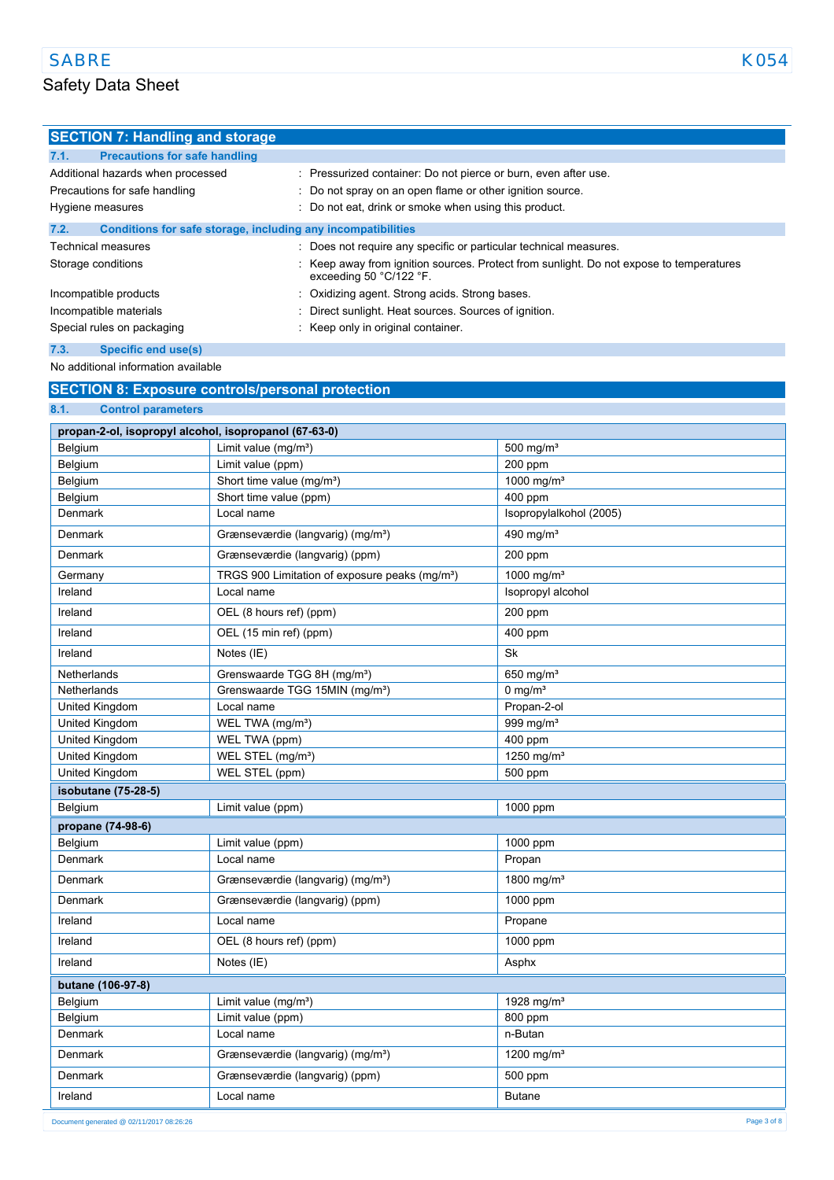## Safety Data Sheet

| <b>SECTION 7: Handling and storage</b>                               |                                                                                                                      |
|----------------------------------------------------------------------|----------------------------------------------------------------------------------------------------------------------|
| 7.1.<br><b>Precautions for safe handling</b>                         |                                                                                                                      |
| Additional hazards when processed                                    | : Pressurized container: Do not pierce or burn, even after use.                                                      |
| Precautions for safe handling                                        | : Do not spray on an open flame or other ignition source.                                                            |
| Hygiene measures                                                     | : Do not eat, drink or smoke when using this product.                                                                |
| 7.2.<br>Conditions for safe storage, including any incompatibilities |                                                                                                                      |
| Technical measures                                                   | : Does not require any specific or particular technical measures.                                                    |
| Storage conditions                                                   | : Keep away from ignition sources. Protect from sunlight. Do not expose to temperatures<br>exceeding 50 $°C/122$ °F. |

Incompatible products **incompatible products** : Oxidizing agent. Strong acids. Strong bases. Incompatible materials **incompatible materials** : Direct sunlight. Heat sources. Sources of ignition.

Special rules on packaging **in the set of the Special rules** on packaging in the Keep only in original container.

### **7.3. Specific end use(s)**

No additional information available

### **SECTION 8: Exposure controls/personal protection**

## **8.1. Control parameters propan-2-ol, isopropyl alcohol, isopropanol (67-63-0)** Belgium Limit value (mg/m<sup>3</sup>) 500 mg/m<sup>3</sup> Belgium Limit value (ppm) 200 ppm Belgium Short time value (mg/m<sup>3</sup>) 1000 mg/m<sup>3</sup> Belgium Short time value (ppm) 3 and 400 ppm Denmark Local name Isopropylalkohol (2005) Denmark Grænseværdie (langvarig) (mg/m<sup>3</sup>) 490 mg/m<sup>3</sup> Denmark Grænseværdie (langvarig) (ppm) 200 ppm Germany TRGS 900 Limitation of exposure peaks (mg/m<sup>3</sup>) 1000 mg/m<sup>3</sup> **Ireland Isopropyl alcohol Local name Isopropyl alcohol Isopropyl alcohol** Ireland OEL (8 hours ref) (ppm) 200 ppm Ireland OEL (15 min ref) (ppm) 400 ppm **Ireland** Notes (IE) Sk Netherlands Grenswaarde TGG 8H (mg/m<sup>3</sup>) 650 mg/m<sup>3</sup> Netherlands Grenswaarde TGG 15MIN (mg/m<sup>3</sup>) 0 mg/m<sup>3</sup> United Kingdom **Local name Propan-2-ol** United Kingdom **WEL TWA (mg/m<sup>3</sup>)** 999 mg/m<sup>3</sup> United Kingdom WEL TWA (ppm) 400 ppm United Kingdom WEL STEL (mg/m<sup>a</sup>) 1250 mg/m<sup>3</sup> United Kingdom WEL STEL (ppm) 500 ppm **isobutane (75-28-5)** Belgium Limit value (ppm) 1000 ppm **propane (74-98-6)** Belgium Limit value (ppm) 1000 ppm Denmark **Local name Local name** Propan Denmark Grænseværdie (langvarig) (mg/mª) 1800 mg/mª Denmark Grænseværdie (langvarig) (ppm) 1000 ppm **Ireland** Propane **Propane** Propane **Propane** Ireland **OEL (8 hours ref) (ppm)** 1000 ppm Ireland **Notes (IE)** Asphx **butane (106-97-8)** Belgium **Limit value (mg/m<sup>3</sup>)** 1928 mg/m<sup>3</sup> Belgium **Limit value (ppm)** 800 ppm Denmark Local name n-Butan n-Butan n-Butan n-Butan n-Butan n-Butan n-Butan n-Butan n-Butan n-Butan n-Butan n-Butan n-Butan n-Butan n-Butan n-Butan n-Butan n-Butan n-Butan n-Butan n-Butan n-Butan n-Butan n-Butan n-Butan n-B Denmark Grænseværdie (langvarig) (mg/m<sup>3</sup>) 1200 mg/m<sup>3</sup> Denmark Grænseværdie (langvarig) (ppm) 500 ppm **Ireland** Butane **Local name Local name Butane Butane**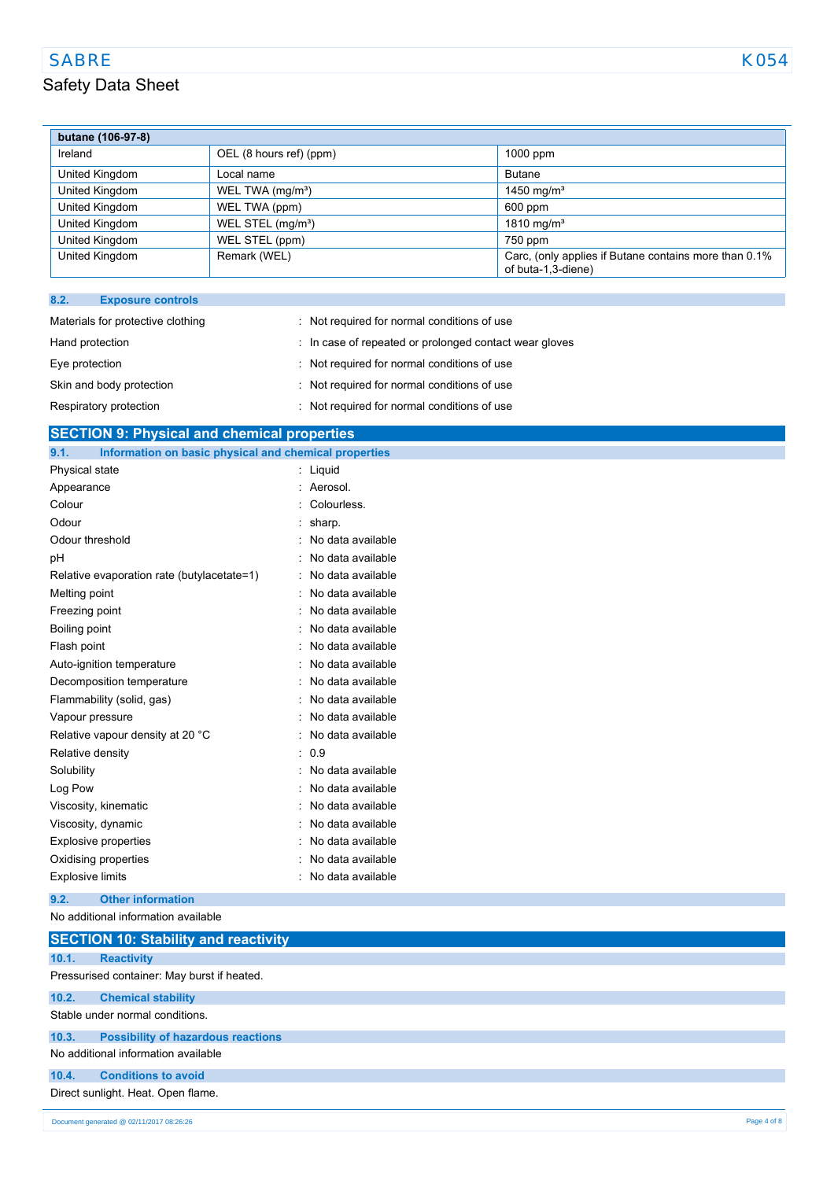## SABRE KO54

| butane (106-97-8)                |                               |                                                                             |
|----------------------------------|-------------------------------|-----------------------------------------------------------------------------|
| Ireland                          | OEL (8 hours ref) (ppm)       | $1000$ ppm                                                                  |
| United Kingdom                   | Local name                    | <b>Butane</b>                                                               |
| United Kingdom                   | WEL TWA (mg/m <sup>3</sup> )  | 1450 mg/m <sup>3</sup>                                                      |
| United Kingdom                   | WEL TWA (ppm)                 | 600 ppm                                                                     |
| United Kingdom                   | WEL STEL (mg/m <sup>3</sup> ) | 1810 mg/m <sup>3</sup>                                                      |
| United Kingdom                   | WEL STEL (ppm)                | 750 ppm                                                                     |
| United Kingdom                   | Remark (WEL)                  | Carc, (only applies if Butane contains more than 0.1%<br>of buta-1,3-diene) |
|                                  |                               |                                                                             |
| 8.2.<br><b>Exposure controls</b> |                               |                                                                             |

| Materials for protective clothing | : Not required for normal conditions of use            |
|-----------------------------------|--------------------------------------------------------|
| Hand protection                   | : In case of repeated or prolonged contact wear gloves |
| Eye protection                    | : Not required for normal conditions of use            |
| Skin and body protection          | : Not required for normal conditions of use            |
| Respiratory protection            | : Not required for normal conditions of use            |

# **SECTION 9: Physical and chemical properties**

| Information on basic physical and chemical properties<br>9.1. |                   |
|---------------------------------------------------------------|-------------------|
| Physical state                                                | Liquid            |
| Appearance                                                    | Aerosol.          |
| Colour                                                        | Colourless.       |
| Odour                                                         | sharp.            |
| Odour threshold                                               | No data available |
| рH                                                            | No data available |
| Relative evaporation rate (butylacetate=1)                    | No data available |
| Melting point                                                 | No data available |
| Freezing point                                                | No data available |
| Boiling point                                                 | No data available |
| Flash point                                                   | No data available |
| Auto-ignition temperature                                     | No data available |
| Decomposition temperature                                     | No data available |
| Flammability (solid, gas)                                     | No data available |
| Vapour pressure                                               | No data available |
| Relative vapour density at 20 °C                              | No data available |
| Relative density                                              | 0.9<br>۰.         |
| Solubility                                                    | No data available |
| Log Pow                                                       | No data available |
| Viscosity, kinematic                                          | No data available |
| Viscosity, dynamic                                            | No data available |
| <b>Explosive properties</b>                                   | No data available |
| Oxidising properties                                          | No data available |
| <b>Explosive limits</b>                                       | No data available |
|                                                               |                   |

**9.2. Other information**

No additional information available

|       | <b>SECTION 10: Stability and reactivity</b> |             |
|-------|---------------------------------------------|-------------|
| 10.1. | <b>Reactivity</b>                           |             |
|       | Pressurised container: May burst if heated. |             |
| 10.2. | <b>Chemical stability</b>                   |             |
|       | Stable under normal conditions.             |             |
| 10.3. | <b>Possibility of hazardous reactions</b>   |             |
|       | No additional information available         |             |
| 10.4. | <b>Conditions to avoid</b>                  |             |
|       | Direct sunlight. Heat. Open flame.          |             |
|       | Document generated @ 02/11/2017 08:26:26    | Page 4 of 8 |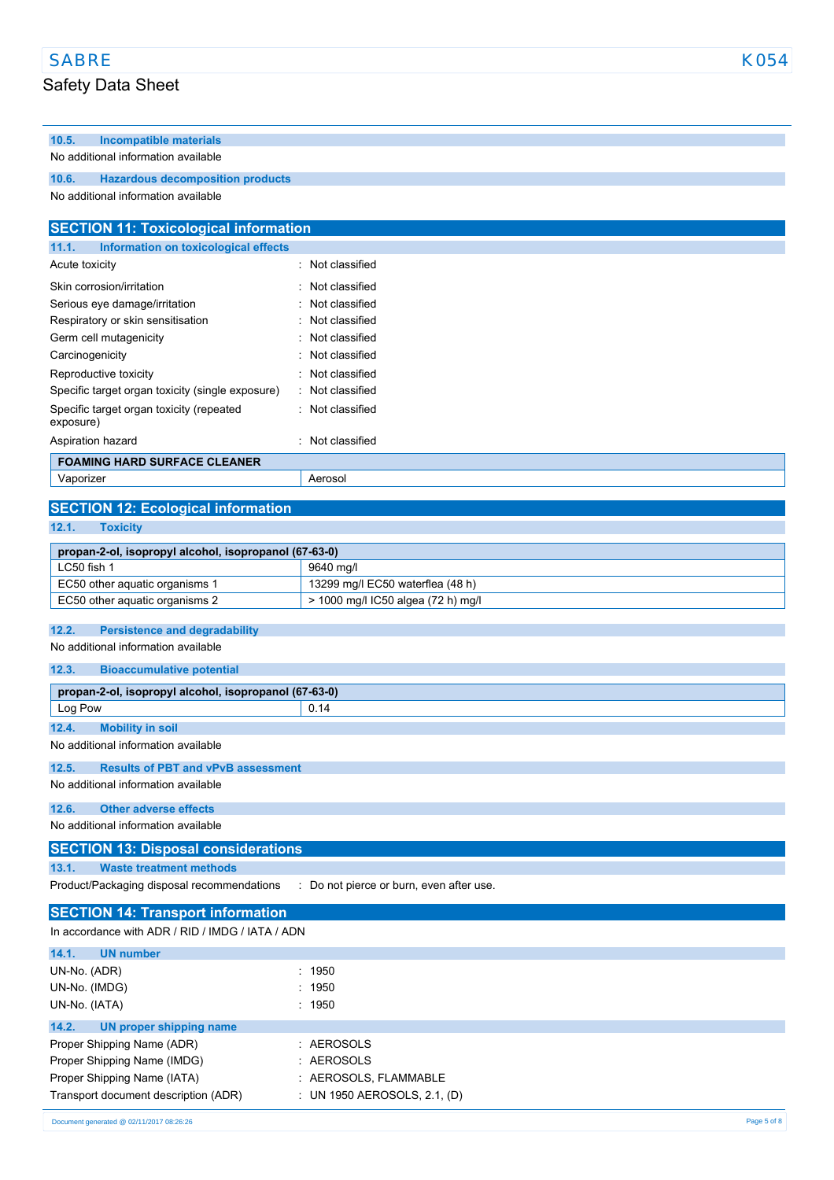# Safety Data Sheet

**10.5. Incompatible materials**

## No additional information available **10.6. Hazardous decomposition products** No additional information available **SECTION 11: Toxicological information 11.1. Information on toxicological effects** Acute toxicity **in the case of the Case of the Case of the Case of the Case of the Case of the Case of the Case of the Case of the Case of the Case of the Case of the Case of the Case of the Case of the Case of the Case of** Skin corrosion/irritation in the set of the set of the Skin corrosion/irritation Serious eye damage/irritation : Not classified Respiratory or skin sensitisation : Not classified Germ cell mutagenicity **in the case of the Contract Contract Contract Contract Contract Contract Contract Contract Contract Contract Contract Contract Contract Contract Contract Contract Contract Contract Contract Contract** Carcinogenicity **Carcinogenicity 1999 Carcinogenicity Carcial Carcial Carcial Carcial Carcial Carcial Carcial Carcial Carcial Carcial Carcial Carcial Carcial Carcial Carcial Carcial Carcial Carcial Carcial Carcial Ca** Reproductive toxicity **in the set of the CRS** in Not classified Specific target organ toxicity (single exposure) : Not classified Specific target organ toxicity (repeated exposure) : Not classified Aspiration hazard **in the set of the set of the set of the set of the set of the set of the set of the set of the set of the set of the set of the set of the set of the set of the set of the set of the set of the set of th FOAMING HARD SURFACE CLEANER** Vaporizer Aerosol **SECTION 12: Ecological information 12.1. Toxicity propan-2-ol, isopropyl alcohol, isopropanol (67-63-0)** LC50 fish 1 9640 mg/l EC50 other aquatic organisms 1 13299 mg/l EC50 waterflea (48 h) EC50 other aquatic organisms 2 <br> > 1000 mg/l IC50 algea (72 h) mg/l **12.2. Persistence and degradability** No additional information available **12.3. Bioaccumulative potential propan-2-ol, isopropyl alcohol, isopropanol (67-63-0)** Log Pow 2014 **12.4. Mobility in soil** No additional information available **12.5. Results of PBT and vPvB assessment** No additional information available **12.6. Other adverse effects** No additional information available **SECTION 13: Disposal considerations 13.1. Waste treatment methods** Product/Packaging disposal recommendations : Do not pierce or burn, even after use. **SECTION 14: Transport information** In accordance with ADR / RID / IMDG / IATA / ADN **14.1. UN number** UN-No. (ADR) : 1950 UN-No. (IMDG) : 1950 UN-No. (IATA) : 1950 **14.2. UN proper shipping name** Proper Shipping Name (ADR) : AEROSOLS Proper Shipping Name (IMDG)  $\qquad \qquad$  : AEROSOLS

| Proper Shipping Name (IMDG)          | . AERUSULS                        |
|--------------------------------------|-----------------------------------|
| Proper Shipping Name (IATA)          | : AEROSOLS FLAMMABLE              |
| Transport document description (ADR) | : UN 1950 AEROSOLS, $2.1$ , $(D)$ |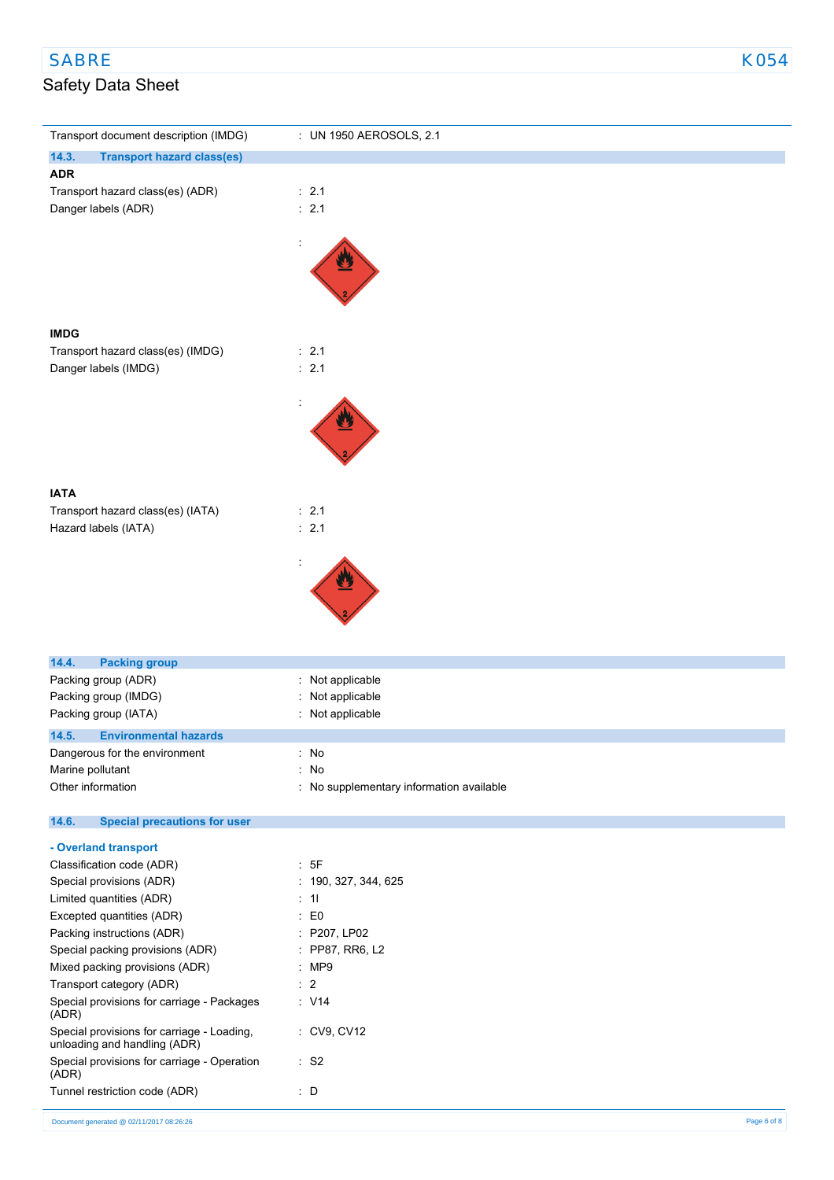| Transport document description (IMDG)                      | : UN 1950 AEROSOLS, 2.1                  |
|------------------------------------------------------------|------------------------------------------|
| 14.3.<br><b>Transport hazard class(es)</b>                 |                                          |
| <b>ADR</b>                                                 |                                          |
| Transport hazard class(es) (ADR)<br>Danger labels (ADR)    | $\therefore$ 2.1<br>$\therefore$ 2.1     |
|                                                            |                                          |
| <b>IMDG</b>                                                |                                          |
| Transport hazard class(es) (IMDG)                          | : 2.1                                    |
| Danger labels (IMDG)                                       | $\therefore$ 2.1                         |
|                                                            |                                          |
|                                                            |                                          |
| <b>IATA</b><br>Transport hazard class(es) (IATA)           | $\therefore$ 2.1                         |
| Hazard labels (IATA)                                       | $\therefore$ 2.1                         |
|                                                            |                                          |
|                                                            |                                          |
|                                                            |                                          |
| 14.4.<br><b>Packing group</b>                              |                                          |
| Packing group (ADR)                                        | Not applicable<br>t                      |
| Packing group (IMDG)                                       | Not applicable                           |
| Packing group (IATA)                                       | Not applicable                           |
| 14.5.<br><b>Environmental hazards</b>                      |                                          |
| Dangerous for the environment                              | ÷.<br>No                                 |
| Marine pollutant                                           | No<br>۰                                  |
| Other information                                          | : No supplementary information available |
| 14.6.<br><b>Special precautions for user</b>               |                                          |
| - Overland transport                                       |                                          |
| Classification code (ADR)                                  | : 5F                                     |
| Special provisions (ADR)                                   | : 190, 327, 344, 625                     |
| Limited quantities (ADR)                                   | $\div$ 11                                |
| Excepted quantities (ADR)                                  | E <sub>0</sub><br>÷.                     |
| Packing instructions (ADR)                                 | : P207, LP02                             |
| Special packing provisions (ADR)                           | : PP87, RR6, L2                          |
| Mixed packing provisions (ADR)<br>Transport category (ADR) | :MP9<br>$\therefore$ 2                   |
| Special provisions for carriage - Packages                 | $\therefore$ V14                         |
| (ADR)<br>Special provisions for carriage - Loading,        | : CV9, CV12                              |
| unloading and handling (ADR)                               |                                          |
| Special provisions for carriage - Operation<br>(ADR)       | $:$ S <sub>2</sub>                       |
| Tunnel restriction code (ADR)                              | $\therefore$ D                           |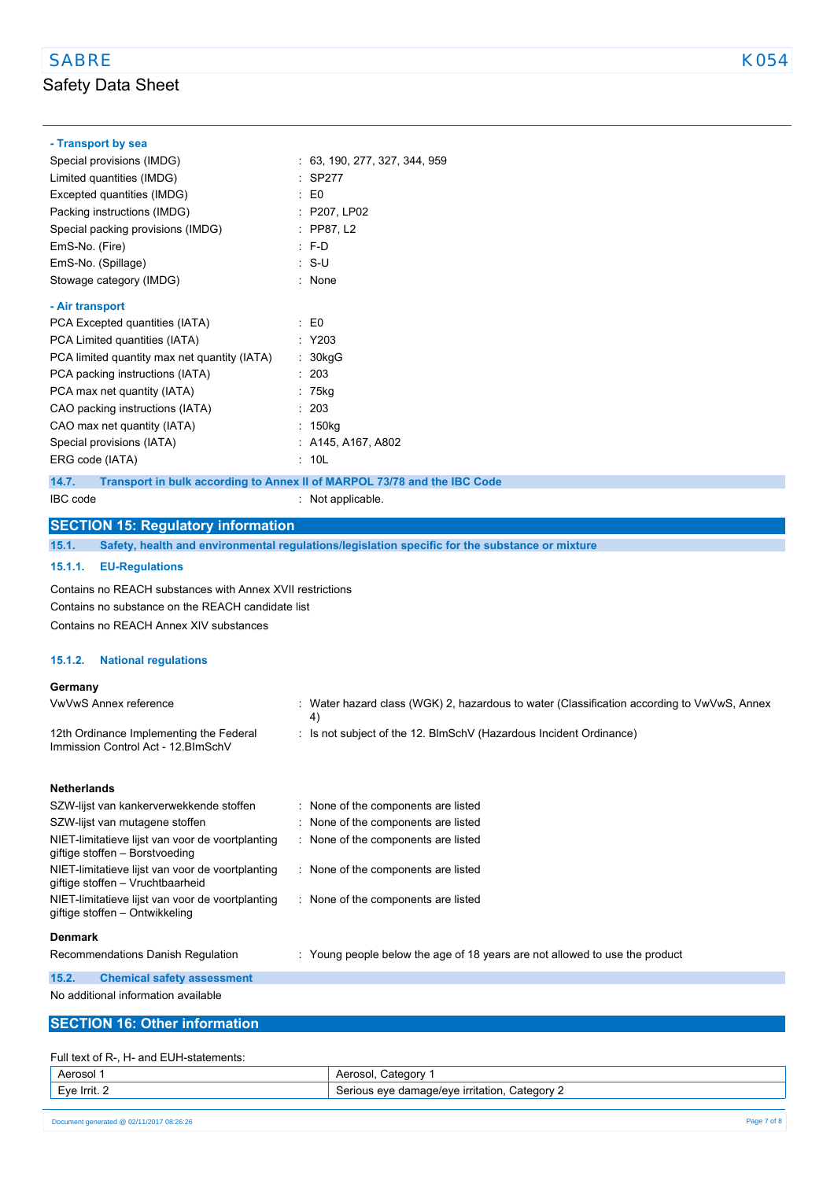### **- Transport by sea**

| Special provisions (IMDG)                    | : 63, 190, 277, 327, 344, 959 |
|----------------------------------------------|-------------------------------|
| Limited quantities (IMDG)                    | : SP277                       |
| Excepted quantities (IMDG)                   | $E_0$                         |
| Packing instructions (IMDG)                  | : P207, LP02                  |
| Special packing provisions (IMDG)            | $:$ PP87, L2                  |
| EmS-No. (Fire)                               | $: F-D$                       |
| EmS-No. (Spillage)                           | : S-U                         |
| Stowage category (IMDG)                      | : None                        |
| - Air transport                              |                               |
| PCA Excepted quantities (IATA)               | $\mathbf{E}$ EO               |
| PCA Limited quantities (IATA)                | : Y203                        |
| PCA limited quantity max net quantity (IATA) | : 30kgG                       |
| PCA packing instructions (IATA)              | -203                          |
| PCA max net quantity (IATA)                  | 75kg                          |
| CAO packing instructions (IATA)              | : 203                         |
| CAO max net quantity (IATA)                  | : 150kg                       |
| Special provisions (IATA)                    | : A145, A167, A802            |
| ERG code (IATA)                              | 10L                           |

**14.7. Transport in bulk according to Annex II of MARPOL 73/78 and the IBC Code**

IBC code : Not applicable.

### **SECTION 15: Regulatory information**

**15.1. Safety, health and environmental regulations/legislation specific for the substance or mixture**

#### **15.1.1. EU-Regulations**

Contains no REACH substances with Annex XVII restrictions Contains no substance on the REACH candidate list Contains no REACH Annex XIV substances

#### **15.1.2. National regulations**

#### **Germany**

| <b>VwVwS Annex reference</b>                                                         | : Water hazard class (WGK) 2, hazardous to water (Classification according to VwVwS, Annex<br>4) |
|--------------------------------------------------------------------------------------|--------------------------------------------------------------------------------------------------|
| 12th Ordinance Implementing the Federal<br>Immission Control Act - 12. BlmSchV       | : Is not subject of the 12. BlmSchV (Hazardous Incident Ordinance)                               |
| <b>Netherlands</b>                                                                   |                                                                                                  |
| SZW-lijst van kankerverwekkende stoffen                                              | : None of the components are listed                                                              |
| SZW-lijst van mutagene stoffen                                                       | : None of the components are listed                                                              |
| NIET-limitatieve lijst van voor de voortplanting<br>giftige stoffen - Borstvoeding   | : None of the components are listed                                                              |
| NIET-limitatieve lijst van voor de voortplanting<br>giftige stoffen - Vruchtbaarheid | : None of the components are listed                                                              |
| NIET-limitatieve lijst van voor de voortplanting<br>giftige stoffen – Ontwikkeling   | : None of the components are listed                                                              |

#### **Denmark**

Recommendations Danish Regulation : Young people below the age of 18 years are not allowed to use the product

**15.2. Chemical safety assessment**

No additional information available

### **SECTION 16: Other information**

#### Full text of R-, H- and EUH-statements:

| Aerosol      | :ategory<br>Aerosol.                                                  |
|--------------|-----------------------------------------------------------------------|
| Eve Irrit. 2 | Category<br>.nage/eve irritation<br>$N$ $\alpha$<br>∵qamar<br>$\cdot$ |
|              |                                                                       |